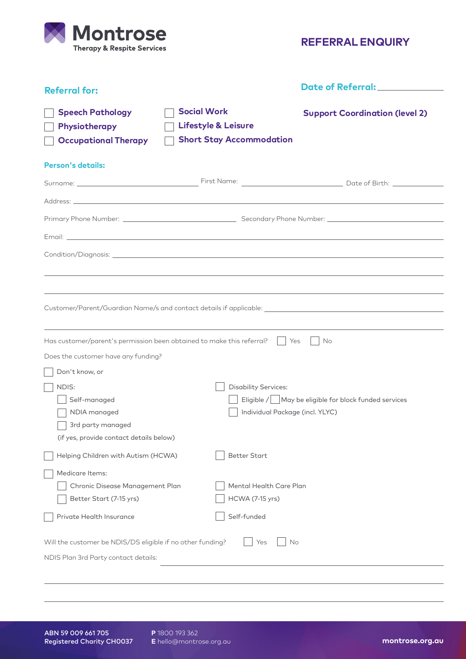

**REFERRAL ENQUIRY**

| <b>Referral for:</b>                                                    |                                                                                         | Date of Referral:_______________                                                                    |
|-------------------------------------------------------------------------|-----------------------------------------------------------------------------------------|-----------------------------------------------------------------------------------------------------|
| <b>Speech Pathology</b><br>Physiotherapy<br><b>Occupational Therapy</b> | <b>Social Work</b><br><b>Lifestyle &amp; Leisure</b><br><b>Short Stay Accommodation</b> | <b>Support Coordination (level 2)</b>                                                               |
| <b>Person's details:</b>                                                |                                                                                         |                                                                                                     |
|                                                                         |                                                                                         |                                                                                                     |
|                                                                         |                                                                                         |                                                                                                     |
|                                                                         |                                                                                         |                                                                                                     |
|                                                                         |                                                                                         |                                                                                                     |
|                                                                         |                                                                                         |                                                                                                     |
|                                                                         |                                                                                         |                                                                                                     |
|                                                                         |                                                                                         |                                                                                                     |
|                                                                         |                                                                                         | Customer/Parent/Guardian Name/s and contact details if applicable: ________________________________ |
|                                                                         |                                                                                         |                                                                                                     |
| Has customer/parent's permission been obtained to make this referral?   |                                                                                         | Yes<br>No                                                                                           |
| Does the customer have any funding?                                     |                                                                                         |                                                                                                     |
| Don't know, or                                                          |                                                                                         |                                                                                                     |
| NDIS:                                                                   | <b>Disability Services:</b>                                                             |                                                                                                     |
| Self-managed                                                            |                                                                                         | Eligible / May be eligible for block funded services                                                |
| NDIA managed                                                            |                                                                                         | Individual Package (incl. YLYC)                                                                     |
| 3rd party managed                                                       |                                                                                         |                                                                                                     |
| (if yes, provide contact details below)                                 |                                                                                         |                                                                                                     |
| Helping Children with Autism (HCWA)                                     | <b>Better Start</b>                                                                     |                                                                                                     |
| Medicare Items:                                                         |                                                                                         |                                                                                                     |
| Chronic Disease Management Plan                                         | Mental Health Care Plan                                                                 |                                                                                                     |
| Better Start (7-15 yrs)                                                 | <b>HCWA (7-15 yrs)</b>                                                                  |                                                                                                     |
| Private Health Insurance                                                | Self-funded                                                                             |                                                                                                     |
| Will the customer be NDIS/DS eligible if no other funding?              | Yes                                                                                     | No                                                                                                  |
| NDIS Plan 3rd Party contact details:                                    |                                                                                         |                                                                                                     |
|                                                                         |                                                                                         |                                                                                                     |

**P** 1800 193 362 **E** hello@montrose.org.au